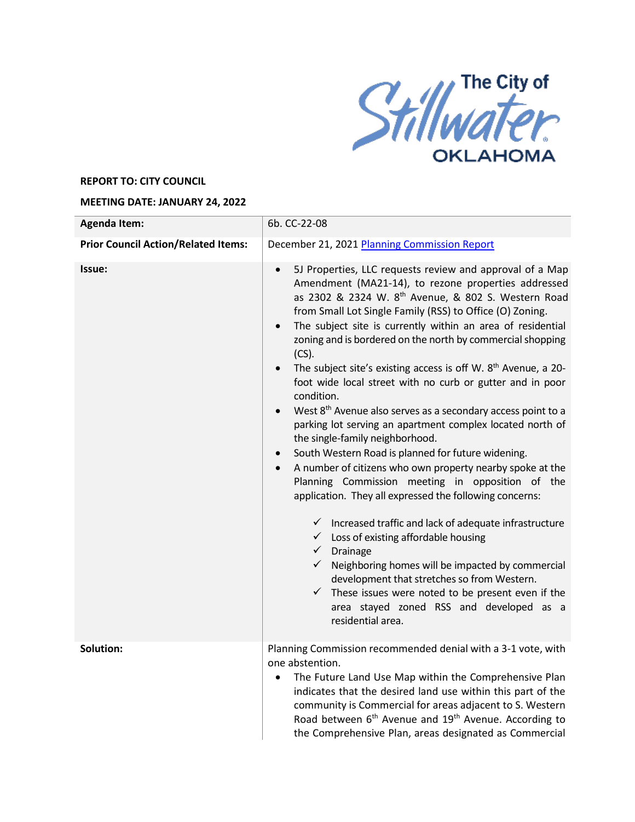

## **REPORT TO: CITY COUNCIL**

## **MEETING DATE: JANUARY 24, 2022**

| <b>Agenda Item:</b>                        | 6b. CC-22-08                                                                                                                                                                                                                                                                                                                                                                                                                                                                                                                                                                                                                                                                                                                                                                                                                                                                                                                                                                                                                                                                                                                                                                                                                                                                                                                                                                                                             |
|--------------------------------------------|--------------------------------------------------------------------------------------------------------------------------------------------------------------------------------------------------------------------------------------------------------------------------------------------------------------------------------------------------------------------------------------------------------------------------------------------------------------------------------------------------------------------------------------------------------------------------------------------------------------------------------------------------------------------------------------------------------------------------------------------------------------------------------------------------------------------------------------------------------------------------------------------------------------------------------------------------------------------------------------------------------------------------------------------------------------------------------------------------------------------------------------------------------------------------------------------------------------------------------------------------------------------------------------------------------------------------------------------------------------------------------------------------------------------------|
| <b>Prior Council Action/Related Items:</b> | December 21, 2021 Planning Commission Report                                                                                                                                                                                                                                                                                                                                                                                                                                                                                                                                                                                                                                                                                                                                                                                                                                                                                                                                                                                                                                                                                                                                                                                                                                                                                                                                                                             |
| Issue:                                     | 5J Properties, LLC requests review and approval of a Map<br>$\bullet$<br>Amendment (MA21-14), to rezone properties addressed<br>as 2302 & 2324 W. 8 <sup>th</sup> Avenue, & 802 S. Western Road<br>from Small Lot Single Family (RSS) to Office (O) Zoning.<br>The subject site is currently within an area of residential<br>$\bullet$<br>zoning and is bordered on the north by commercial shopping<br>$(CS)$ .<br>The subject site's existing access is off W. 8 <sup>th</sup> Avenue, a 20-<br>foot wide local street with no curb or gutter and in poor<br>condition.<br>West 8 <sup>th</sup> Avenue also serves as a secondary access point to a<br>parking lot serving an apartment complex located north of<br>the single-family neighborhood.<br>South Western Road is planned for future widening.<br>$\bullet$<br>A number of citizens who own property nearby spoke at the<br>$\bullet$<br>Planning Commission meeting in opposition of the<br>application. They all expressed the following concerns:<br>$\checkmark$ Increased traffic and lack of adequate infrastructure<br>$\checkmark$ Loss of existing affordable housing<br>$\checkmark$ Drainage<br>$\checkmark$ Neighboring homes will be impacted by commercial<br>development that stretches so from Western.<br>$\checkmark$ These issues were noted to be present even if the<br>area stayed zoned RSS and developed as a<br>residential area. |
| Solution:                                  | Planning Commission recommended denial with a 3-1 vote, with<br>one abstention.<br>The Future Land Use Map within the Comprehensive Plan<br>indicates that the desired land use within this part of the<br>community is Commercial for areas adjacent to S. Western<br>Road between 6 <sup>th</sup> Avenue and 19 <sup>th</sup> Avenue. According to<br>the Comprehensive Plan, areas designated as Commercial                                                                                                                                                                                                                                                                                                                                                                                                                                                                                                                                                                                                                                                                                                                                                                                                                                                                                                                                                                                                           |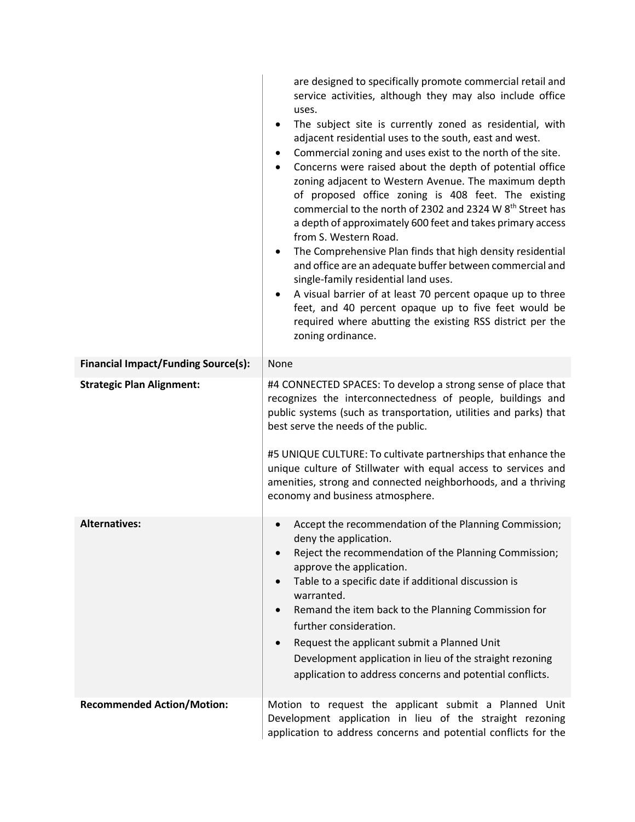|                                            | are designed to specifically promote commercial retail and<br>service activities, although they may also include office<br>uses.                                                                                                                                                                                                                                                                                                                                                                                                                                                                                                                                                                                                                                                                                                                                                                                                                                       |
|--------------------------------------------|------------------------------------------------------------------------------------------------------------------------------------------------------------------------------------------------------------------------------------------------------------------------------------------------------------------------------------------------------------------------------------------------------------------------------------------------------------------------------------------------------------------------------------------------------------------------------------------------------------------------------------------------------------------------------------------------------------------------------------------------------------------------------------------------------------------------------------------------------------------------------------------------------------------------------------------------------------------------|
|                                            | The subject site is currently zoned as residential, with<br>$\bullet$<br>adjacent residential uses to the south, east and west.<br>Commercial zoning and uses exist to the north of the site.<br>$\bullet$<br>Concerns were raised about the depth of potential office<br>$\bullet$<br>zoning adjacent to Western Avenue. The maximum depth<br>of proposed office zoning is 408 feet. The existing<br>commercial to the north of 2302 and 2324 W 8 <sup>th</sup> Street has<br>a depth of approximately 600 feet and takes primary access<br>from S. Western Road.<br>The Comprehensive Plan finds that high density residential<br>$\bullet$<br>and office are an adequate buffer between commercial and<br>single-family residential land uses.<br>A visual barrier of at least 70 percent opaque up to three<br>$\bullet$<br>feet, and 40 percent opaque up to five feet would be<br>required where abutting the existing RSS district per the<br>zoning ordinance. |
| <b>Financial Impact/Funding Source(s):</b> | None                                                                                                                                                                                                                                                                                                                                                                                                                                                                                                                                                                                                                                                                                                                                                                                                                                                                                                                                                                   |
| <b>Strategic Plan Alignment:</b>           | #4 CONNECTED SPACES: To develop a strong sense of place that<br>recognizes the interconnectedness of people, buildings and<br>public systems (such as transportation, utilities and parks) that<br>best serve the needs of the public.<br>#5 UNIQUE CULTURE: To cultivate partnerships that enhance the                                                                                                                                                                                                                                                                                                                                                                                                                                                                                                                                                                                                                                                                |
|                                            | unique culture of Stillwater with equal access to services and<br>amenities, strong and connected neighborhoods, and a thriving<br>economy and business atmosphere.                                                                                                                                                                                                                                                                                                                                                                                                                                                                                                                                                                                                                                                                                                                                                                                                    |
| <b>Alternatives:</b>                       | Accept the recommendation of the Planning Commission;<br>deny the application.<br>Reject the recommendation of the Planning Commission;<br>$\bullet$<br>approve the application.<br>Table to a specific date if additional discussion is<br>$\bullet$<br>warranted.<br>Remand the item back to the Planning Commission for<br>$\bullet$<br>further consideration.<br>Request the applicant submit a Planned Unit<br>$\bullet$<br>Development application in lieu of the straight rezoning<br>application to address concerns and potential conflicts.                                                                                                                                                                                                                                                                                                                                                                                                                  |
| <b>Recommended Action/Motion:</b>          | Motion to request the applicant submit a Planned Unit<br>Development application in lieu of the straight rezoning<br>application to address concerns and potential conflicts for the                                                                                                                                                                                                                                                                                                                                                                                                                                                                                                                                                                                                                                                                                                                                                                                   |